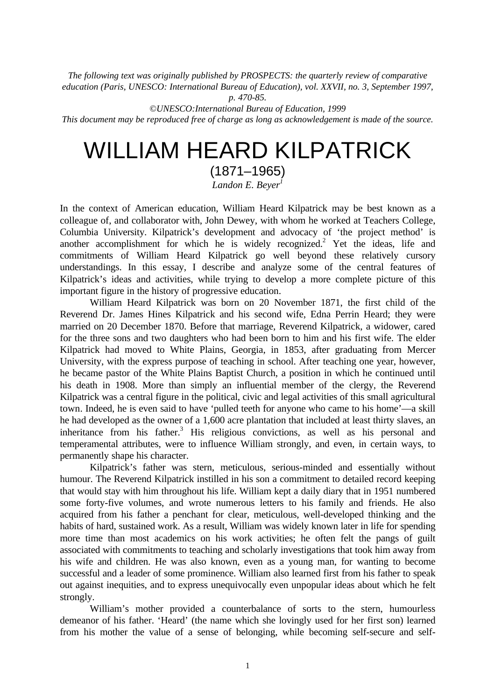*The following text was originally published by PROSPECTS: the quarterly review of comparative education (Paris, UNESCO: International Bureau of Education), vol. XXVII, no. 3, September 1997, p. 470-85.*

*©UNESCO:International Bureau of Education, 1999*

*This document may be reproduced free of charge as long as acknowledgement is made of the source.*

# WILLIAM HEARD KILPATRICK

(1871–1965)

*Landon E. Beyer<sup>1</sup>*

In the context of American education, William Heard Kilpatrick may be best known as a colleague of, and collaborator with, John Dewey, with whom he worked at Teachers College, Columbia University. Kilpatrick's development and advocacy of 'the project method' is another accomplishment for which he is widely recognized.<sup>2</sup> Yet the ideas, life and commitments of William Heard Kilpatrick go well beyond these relatively cursory understandings. In this essay, I describe and analyze some of the central features of Kilpatrick's ideas and activities, while trying to develop a more complete picture of this important figure in the history of progressive education.

William Heard Kilpatrick was born on 20 November 1871, the first child of the Reverend Dr. James Hines Kilpatrick and his second wife, Edna Perrin Heard; they were married on 20 December 1870. Before that marriage, Reverend Kilpatrick, a widower, cared for the three sons and two daughters who had been born to him and his first wife. The elder Kilpatrick had moved to White Plains, Georgia, in 1853, after graduating from Mercer University, with the express purpose of teaching in school. After teaching one year, however, he became pastor of the White Plains Baptist Church, a position in which he continued until his death in 1908. More than simply an influential member of the clergy, the Reverend Kilpatrick was a central figure in the political, civic and legal activities of this small agricultural town. Indeed, he is even said to have 'pulled teeth for anyone who came to his home'—a skill he had developed as the owner of a 1,600 acre plantation that included at least thirty slaves, an inheritance from his father.<sup>3</sup> His religious convictions, as well as his personal and temperamental attributes, were to influence William strongly, and even, in certain ways, to permanently shape his character.

Kilpatrick's father was stern, meticulous, serious-minded and essentially without humour. The Reverend Kilpatrick instilled in his son a commitment to detailed record keeping that would stay with him throughout his life. William kept a daily diary that in 1951 numbered some forty-five volumes, and wrote numerous letters to his family and friends. He also acquired from his father a penchant for clear, meticulous, well-developed thinking and the habits of hard, sustained work. As a result, William was widely known later in life for spending more time than most academics on his work activities; he often felt the pangs of guilt associated with commitments to teaching and scholarly investigations that took him away from his wife and children. He was also known, even as a young man, for wanting to become successful and a leader of some prominence. William also learned first from his father to speak out against inequities, and to express unequivocally even unpopular ideas about which he felt strongly.

William's mother provided a counterbalance of sorts to the stern, humourless demeanor of his father. 'Heard' (the name which she lovingly used for her first son) learned from his mother the value of a sense of belonging, while becoming self-secure and self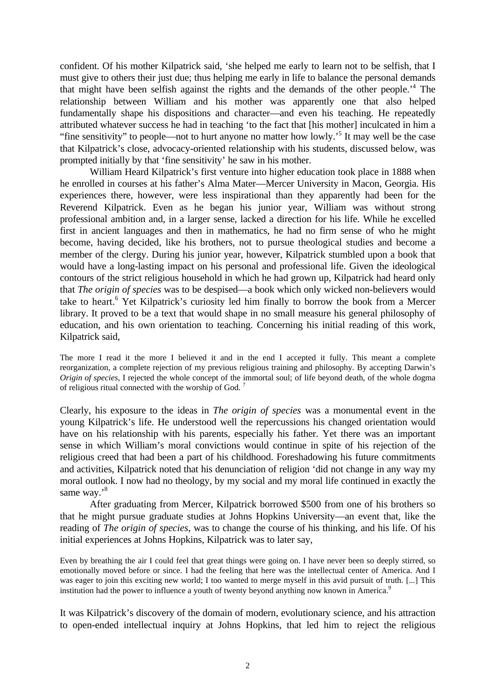confident. Of his mother Kilpatrick said, 'she helped me early to learn not to be selfish, that I must give to others their just due; thus helping me early in life to balance the personal demands that might have been selfish against the rights and the demands of the other people.<sup>4</sup> The relationship between William and his mother was apparently one that also helped fundamentally shape his dispositions and character—and even his teaching. He repeatedly attributed whatever success he had in teaching 'to the fact that [his mother] inculcated in him a "fine sensitivity" to people—not to hurt anyone no matter how lowly.<sup>5</sup> It may well be the case that Kilpatrick's close, advocacy-oriented relationship with his students, discussed below, was prompted initially by that 'fine sensitivity' he saw in his mother.

William Heard Kilpatrick's first venture into higher education took place in 1888 when he enrolled in courses at his father's Alma Mater—Mercer University in Macon, Georgia. His experiences there, however, were less inspirational than they apparently had been for the Reverend Kilpatrick. Even as he began his junior year, William was without strong professional ambition and, in a larger sense, lacked a direction for his life. While he excelled first in ancient languages and then in mathematics, he had no firm sense of who he might become, having decided, like his brothers, not to pursue theological studies and become a member of the clergy. During his junior year, however, Kilpatrick stumbled upon a book that would have a long-lasting impact on his personal and professional life. Given the ideological contours of the strict religious household in which he had grown up, Kilpatrick had heard only that *The origin of species* was to be despised—a book which only wicked non-believers would take to heart.<sup>6</sup> Yet Kilpatrick's curiosity led him finally to borrow the book from a Mercer library. It proved to be a text that would shape in no small measure his general philosophy of education, and his own orientation to teaching. Concerning his initial reading of this work, Kilpatrick said,

The more I read it the more I believed it and in the end I accepted it fully. This meant a complete reorganization, a complete rejection of my previous religious training and philosophy. By accepting Darwin's *Origin of species*, I rejected the whole concept of the immortal soul; of life beyond death, of the whole dogma of religious ritual connected with the worship of God. <sup>7</sup>

Clearly, his exposure to the ideas in *The origin of species* was a monumental event in the young Kilpatrick's life. He understood well the repercussions his changed orientation would have on his relationship with his parents, especially his father. Yet there was an important sense in which William's moral convictions would continue in spite of his rejection of the religious creed that had been a part of his childhood. Foreshadowing his future commitments and activities, Kilpatrick noted that his denunciation of religion 'did not change in any way my moral outlook. I now had no theology, by my social and my moral life continued in exactly the same way.'<sup>8</sup>

After graduating from Mercer, Kilpatrick borrowed \$500 from one of his brothers so that he might pursue graduate studies at Johns Hopkins University—an event that, like the reading of *The origin of species*, was to change the course of his thinking, and his life. Of his initial experiences at Johns Hopkins, Kilpatrick was to later say,

Even by breathing the air I could feel that great things were going on. I have never been so deeply stirred, so emotionally moved before or since. I had the feeling that here was the intellectual center of America. And I was eager to join this exciting new world; I too wanted to merge myself in this avid pursuit of truth. [...] This institution had the power to influence a youth of twenty beyond anything now known in America.<sup>9</sup>

It was Kilpatrick's discovery of the domain of modern, evolutionary science, and his attraction to open-ended intellectual inquiry at Johns Hopkins, that led him to reject the religious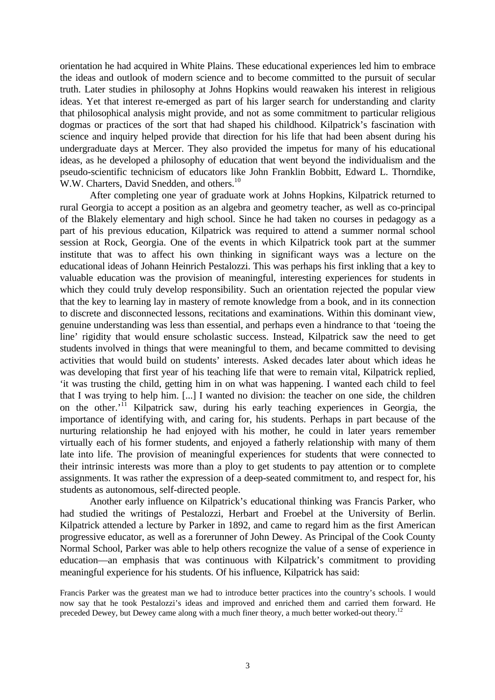orientation he had acquired in White Plains. These educational experiences led him to embrace the ideas and outlook of modern science and to become committed to the pursuit of secular truth. Later studies in philosophy at Johns Hopkins would reawaken his interest in religious ideas. Yet that interest re-emerged as part of his larger search for understanding and clarity that philosophical analysis might provide, and not as some commitment to particular religious dogmas or practices of the sort that had shaped his childhood. Kilpatrick's fascination with science and inquiry helped provide that direction for his life that had been absent during his undergraduate days at Mercer. They also provided the impetus for many of his educational ideas, as he developed a philosophy of education that went beyond the individualism and the pseudo-scientific technicism of educators like John Franklin Bobbitt, Edward L. Thorndike, W.W. Charters, David Snedden, and others.<sup>10</sup>

After completing one year of graduate work at Johns Hopkins, Kilpatrick returned to rural Georgia to accept a position as an algebra and geometry teacher, as well as co-principal of the Blakely elementary and high school. Since he had taken no courses in pedagogy as a part of his previous education, Kilpatrick was required to attend a summer normal school session at Rock, Georgia. One of the events in which Kilpatrick took part at the summer institute that was to affect his own thinking in significant ways was a lecture on the educational ideas of Johann Heinrich Pestalozzi. This was perhaps his first inkling that a key to valuable education was the provision of meaningful, interesting experiences for students in which they could truly develop responsibility. Such an orientation rejected the popular view that the key to learning lay in mastery of remote knowledge from a book, and in its connection to discrete and disconnected lessons, recitations and examinations. Within this dominant view, genuine understanding was less than essential, and perhaps even a hindrance to that 'toeing the line' rigidity that would ensure scholastic success. Instead, Kilpatrick saw the need to get students involved in things that were meaningful to them, and became committed to devising activities that would build on students' interests. Asked decades later about which ideas he was developing that first year of his teaching life that were to remain vital, Kilpatrick replied, 'it was trusting the child, getting him in on what was happening. I wanted each child to feel that I was trying to help him. [...] I wanted no division: the teacher on one side, the children on the other.'<sup>11</sup> Kilpatrick saw, during his early teaching experiences in Georgia, the importance of identifying with, and caring for, his students. Perhaps in part because of the nurturing relationship he had enjoyed with his mother, he could in later years remember virtually each of his former students, and enjoyed a fatherly relationship with many of them late into life. The provision of meaningful experiences for students that were connected to their intrinsic interests was more than a ploy to get students to pay attention or to complete assignments. It was rather the expression of a deep-seated commitment to, and respect for, his students as autonomous, self-directed people.

Another early influence on Kilpatrick's educational thinking was Francis Parker, who had studied the writings of Pestalozzi, Herbart and Froebel at the University of Berlin. Kilpatrick attended a lecture by Parker in 1892, and came to regard him as the first American progressive educator, as well as a forerunner of John Dewey. As Principal of the Cook County Normal School, Parker was able to help others recognize the value of a sense of experience in education—an emphasis that was continuous with Kilpatrick's commitment to providing meaningful experience for his students. Of his influence, Kilpatrick has said:

Francis Parker was the greatest man we had to introduce better practices into the country's schools. I would now say that he took Pestalozzi's ideas and improved and enriched them and carried them forward. He preceded Dewey, but Dewey came along with a much finer theory, a much better worked-out theory.<sup>12</sup>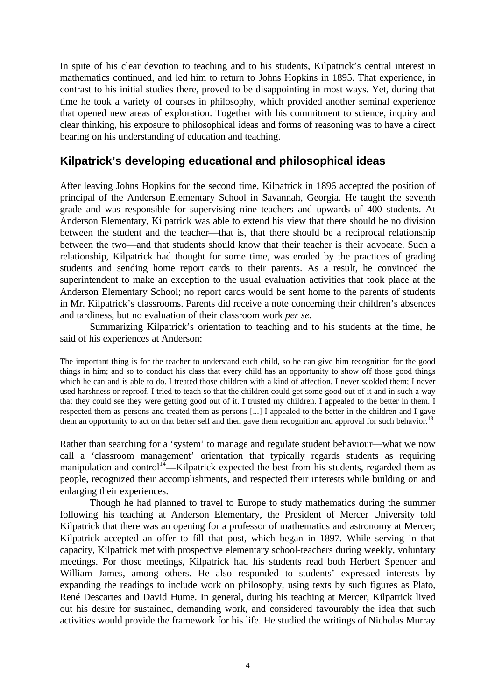In spite of his clear devotion to teaching and to his students, Kilpatrick's central interest in mathematics continued, and led him to return to Johns Hopkins in 1895. That experience, in contrast to his initial studies there, proved to be disappointing in most ways. Yet, during that time he took a variety of courses in philosophy, which provided another seminal experience that opened new areas of exploration. Together with his commitment to science, inquiry and clear thinking, his exposure to philosophical ideas and forms of reasoning was to have a direct bearing on his understanding of education and teaching.

## **Kilpatrick's developing educational and philosophical ideas**

After leaving Johns Hopkins for the second time, Kilpatrick in 1896 accepted the position of principal of the Anderson Elementary School in Savannah, Georgia. He taught the seventh grade and was responsible for supervising nine teachers and upwards of 400 students. At Anderson Elementary, Kilpatrick was able to extend his view that there should be no division between the student and the teacher—that is, that there should be a reciprocal relationship between the two—and that students should know that their teacher is their advocate. Such a relationship, Kilpatrick had thought for some time, was eroded by the practices of grading students and sending home report cards to their parents. As a result, he convinced the superintendent to make an exception to the usual evaluation activities that took place at the Anderson Elementary School; no report cards would be sent home to the parents of students in Mr. Kilpatrick's classrooms. Parents did receive a note concerning their children's absences and tardiness, but no evaluation of their classroom work *per se*.

Summarizing Kilpatrick's orientation to teaching and to his students at the time, he said of his experiences at Anderson:

The important thing is for the teacher to understand each child, so he can give him recognition for the good things in him; and so to conduct his class that every child has an opportunity to show off those good things which he can and is able to do. I treated those children with a kind of affection. I never scolded them; I never used harshness or reproof. I tried to teach so that the children could get some good out of it and in such a way that they could see they were getting good out of it. I trusted my children. I appealed to the better in them. I respected them as persons and treated them as persons [...] I appealed to the better in the children and I gave them an opportunity to act on that better self and then gave them recognition and approval for such behavior.<sup>13</sup>

Rather than searching for a 'system' to manage and regulate student behaviour—what we now call a 'classroom management' orientation that typically regards students as requiring manipulation and control<sup>14</sup>—Kilpatrick expected the best from his students, regarded them as people, recognized their accomplishments, and respected their interests while building on and enlarging their experiences.

Though he had planned to travel to Europe to study mathematics during the summer following his teaching at Anderson Elementary, the President of Mercer University told Kilpatrick that there was an opening for a professor of mathematics and astronomy at Mercer; Kilpatrick accepted an offer to fill that post, which began in 1897. While serving in that capacity, Kilpatrick met with prospective elementary school-teachers during weekly, voluntary meetings. For those meetings, Kilpatrick had his students read both Herbert Spencer and William James, among others. He also responded to students' expressed interests by expanding the readings to include work on philosophy, using texts by such figures as Plato, René Descartes and David Hume. In general, during his teaching at Mercer, Kilpatrick lived out his desire for sustained, demanding work, and considered favourably the idea that such activities would provide the framework for his life. He studied the writings of Nicholas Murray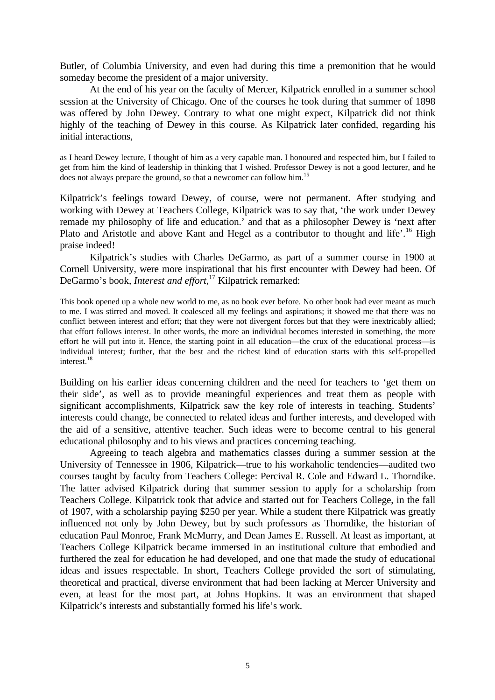Butler, of Columbia University, and even had during this time a premonition that he would someday become the president of a major university.

At the end of his year on the faculty of Mercer, Kilpatrick enrolled in a summer school session at the University of Chicago. One of the courses he took during that summer of 1898 was offered by John Dewey. Contrary to what one might expect, Kilpatrick did not think highly of the teaching of Dewey in this course. As Kilpatrick later confided, regarding his initial interactions,

as I heard Dewey lecture, I thought of him as a very capable man. I honoured and respected him, but I failed to get from him the kind of leadership in thinking that I wished. Professor Dewey is not a good lecturer, and he does not always prepare the ground, so that a newcomer can follow him.<sup>15</sup>

Kilpatrick's feelings toward Dewey, of course, were not permanent. After studying and working with Dewey at Teachers College, Kilpatrick was to say that, 'the work under Dewey remade my philosophy of life and education.' and that as a philosopher Dewey is 'next after Plato and Aristotle and above Kant and Hegel as a contributor to thought and life'.<sup>16</sup> High praise indeed!

Kilpatrick's studies with Charles DeGarmo, as part of a summer course in 1900 at Cornell University, were more inspirational that his first encounter with Dewey had been. Of DeGarmo's book, *Interest and effort*, <sup>17</sup> Kilpatrick remarked:

This book opened up a whole new world to me, as no book ever before. No other book had ever meant as much to me. I was stirred and moved. It coalesced all my feelings and aspirations; it showed me that there was no conflict between interest and effort; that they were not divergent forces but that they were inextricably allied; that effort follows interest. In other words, the more an individual becomes interested in something, the more effort he will put into it. Hence, the starting point in all education—the crux of the educational process—is individual interest; further, that the best and the richest kind of education starts with this self-propelled interest.<sup>18</sup>

Building on his earlier ideas concerning children and the need for teachers to 'get them on their side', as well as to provide meaningful experiences and treat them as people with significant accomplishments, Kilpatrick saw the key role of interests in teaching. Students' interests could change, be connected to related ideas and further interests, and developed with the aid of a sensitive, attentive teacher. Such ideas were to become central to his general educational philosophy and to his views and practices concerning teaching.

Agreeing to teach algebra and mathematics classes during a summer session at the University of Tennessee in 1906, Kilpatrick—true to his workaholic tendencies—audited two courses taught by faculty from Teachers College: Percival R. Cole and Edward L. Thorndike. The latter advised Kilpatrick during that summer session to apply for a scholarship from Teachers College. Kilpatrick took that advice and started out for Teachers College, in the fall of 1907, with a scholarship paying \$250 per year. While a student there Kilpatrick was greatly influenced not only by John Dewey, but by such professors as Thorndike, the historian of education Paul Monroe, Frank McMurry, and Dean James E. Russell. At least as important, at Teachers College Kilpatrick became immersed in an institutional culture that embodied and furthered the zeal for education he had developed, and one that made the study of educational ideas and issues respectable. In short, Teachers College provided the sort of stimulating, theoretical and practical, diverse environment that had been lacking at Mercer University and even, at least for the most part, at Johns Hopkins. It was an environment that shaped Kilpatrick's interests and substantially formed his life's work.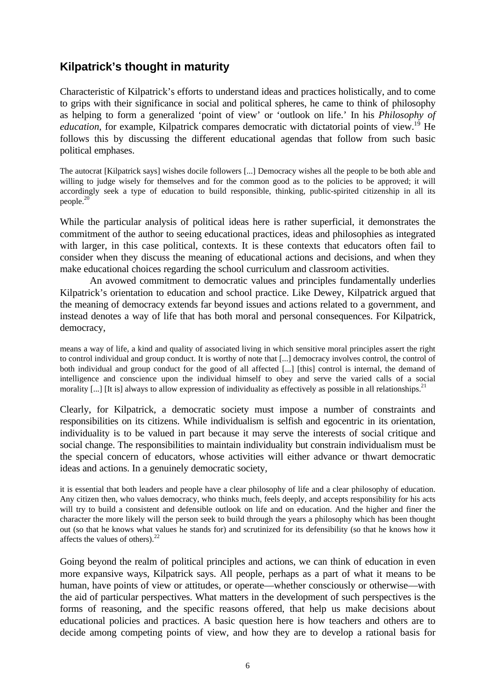## **Kilpatrick's thought in maturity**

Characteristic of Kilpatrick's efforts to understand ideas and practices holistically, and to come to grips with their significance in social and political spheres, he came to think of philosophy as helping to form a generalized 'point of view' or 'outlook on life.' In his *Philosophy of education*, for example, Kilpatrick compares democratic with dictatorial points of view.<sup>19</sup> He follows this by discussing the different educational agendas that follow from such basic political emphases.

The autocrat [Kilpatrick says] wishes docile followers [...] Democracy wishes all the people to be both able and willing to judge wisely for themselves and for the common good as to the policies to be approved; it will accordingly seek a type of education to build responsible, thinking, public-spirited citizenship in all its people.<sup>20</sup>

While the particular analysis of political ideas here is rather superficial, it demonstrates the commitment of the author to seeing educational practices, ideas and philosophies as integrated with larger, in this case political, contexts. It is these contexts that educators often fail to consider when they discuss the meaning of educational actions and decisions, and when they make educational choices regarding the school curriculum and classroom activities.

An avowed commitment to democratic values and principles fundamentally underlies Kilpatrick's orientation to education and school practice. Like Dewey, Kilpatrick argued that the meaning of democracy extends far beyond issues and actions related to a government, and instead denotes a way of life that has both moral and personal consequences. For Kilpatrick, democracy,

means a way of life, a kind and quality of associated living in which sensitive moral principles assert the right to control individual and group conduct. It is worthy of note that [...] democracy involves control, the control of both individual and group conduct for the good of all affected [...] [this] control is internal, the demand of intelligence and conscience upon the individual himself to obey and serve the varied calls of a social morality  $\left[\ldots\right]$  [It is] always to allow expression of individuality as effectively as possible in all relationships.<sup>21</sup>

Clearly, for Kilpatrick, a democratic society must impose a number of constraints and responsibilities on its citizens. While individualism is selfish and egocentric in its orientation, individuality is to be valued in part because it may serve the interests of social critique and social change. The responsibilities to maintain individuality but constrain individualism must be the special concern of educators, whose activities will either advance or thwart democratic ideas and actions. In a genuinely democratic society,

it is essential that both leaders and people have a clear philosophy of life and a clear philosophy of education. Any citizen then, who values democracy, who thinks much, feels deeply, and accepts responsibility for his acts will try to build a consistent and defensible outlook on life and on education. And the higher and finer the character the more likely will the person seek to build through the years a philosophy which has been thought out (so that he knows what values he stands for) and scrutinized for its defensibility (so that he knows how it affects the values of others). $^{22}$ 

Going beyond the realm of political principles and actions, we can think of education in even more expansive ways, Kilpatrick says. All people, perhaps as a part of what it means to be human, have points of view or attitudes, or operate—whether consciously or otherwise—with the aid of particular perspectives. What matters in the development of such perspectives is the forms of reasoning, and the specific reasons offered, that help us make decisions about educational policies and practices. A basic question here is how teachers and others are to decide among competing points of view, and how they are to develop a rational basis for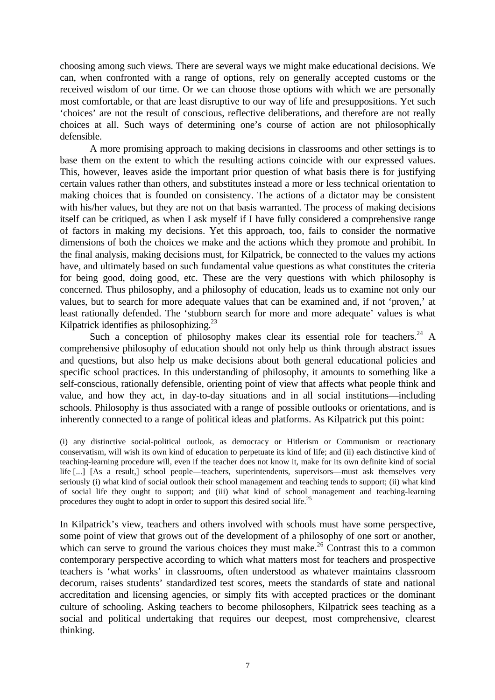choosing among such views. There are several ways we might make educational decisions. We can, when confronted with a range of options, rely on generally accepted customs or the received wisdom of our time. Or we can choose those options with which we are personally most comfortable, or that are least disruptive to our way of life and presuppositions. Yet such 'choices' are not the result of conscious, reflective deliberations, and therefore are not really choices at all. Such ways of determining one's course of action are not philosophically defensible.

A more promising approach to making decisions in classrooms and other settings is to base them on the extent to which the resulting actions coincide with our expressed values. This, however, leaves aside the important prior question of what basis there is for justifying certain values rather than others, and substitutes instead a more or less technical orientation to making choices that is founded on consistency. The actions of a dictator may be consistent with his/her values, but they are not on that basis warranted. The process of making decisions itself can be critiqued, as when I ask myself if I have fully considered a comprehensive range of factors in making my decisions. Yet this approach, too, fails to consider the normative dimensions of both the choices we make and the actions which they promote and prohibit. In the final analysis, making decisions must, for Kilpatrick, be connected to the values my actions have, and ultimately based on such fundamental value questions as what constitutes the criteria for being good, doing good, etc. These are the very questions with which philosophy is concerned. Thus philosophy, and a philosophy of education, leads us to examine not only our values, but to search for more adequate values that can be examined and, if not 'proven,' at least rationally defended. The 'stubborn search for more and more adequate' values is what Kilpatrick identifies as philosophizing.<sup>23</sup>

Such a conception of philosophy makes clear its essential role for teachers.<sup>24</sup> A comprehensive philosophy of education should not only help us think through abstract issues and questions, but also help us make decisions about both general educational policies and specific school practices. In this understanding of philosophy, it amounts to something like a self-conscious, rationally defensible, orienting point of view that affects what people think and value, and how they act, in day-to-day situations and in all social institutions—including schools. Philosophy is thus associated with a range of possible outlooks or orientations, and is inherently connected to a range of political ideas and platforms. As Kilpatrick put this point:

(i) any distinctive social-political outlook, as democracy or Hitlerism or Communism or reactionary conservatism, will wish its own kind of education to perpetuate its kind of life; and (ii) each distinctive kind of teaching-learning procedure will, even if the teacher does not know it, make for its own definite kind of social life [...] [As a result,] school people—teachers, superintendents, supervisors—must ask themselves very seriously (i) what kind of social outlook their school management and teaching tends to support; (ii) what kind of social life they ought to support; and (iii) what kind of school management and teaching-learning procedures they ought to adopt in order to support this desired social life.<sup>25</sup>

In Kilpatrick's view, teachers and others involved with schools must have some perspective, some point of view that grows out of the development of a philosophy of one sort or another, which can serve to ground the various choices they must make.<sup>26</sup> Contrast this to a common contemporary perspective according to which what matters most for teachers and prospective teachers is 'what works' in classrooms, often understood as whatever maintains classroom decorum, raises students' standardized test scores, meets the standards of state and national accreditation and licensing agencies, or simply fits with accepted practices or the dominant culture of schooling. Asking teachers to become philosophers, Kilpatrick sees teaching as a social and political undertaking that requires our deepest, most comprehensive, clearest thinking.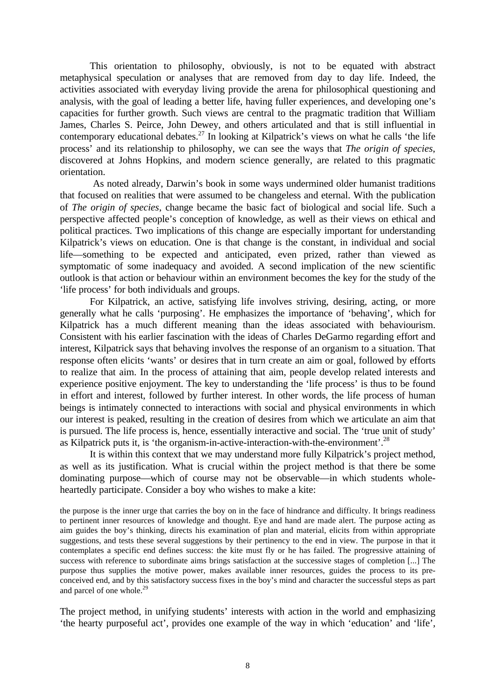This orientation to philosophy, obviously, is not to be equated with abstract metaphysical speculation or analyses that are removed from day to day life. Indeed, the activities associated with everyday living provide the arena for philosophical questioning and analysis, with the goal of leading a better life, having fuller experiences, and developing one's capacities for further growth. Such views are central to the pragmatic tradition that William James, Charles S. Peirce, John Dewey, and others articulated and that is still influential in contemporary educational debates.<sup>27</sup> In looking at Kilpatrick's views on what he calls 'the life process' and its relationship to philosophy, we can see the ways that *The origin of species*, discovered at Johns Hopkins, and modern science generally, are related to this pragmatic orientation.

 As noted already, Darwin's book in some ways undermined older humanist traditions that focused on realities that were assumed to be changeless and eternal. With the publication of *The origin of species*, change became the basic fact of biological and social life. Such a perspective affected people's conception of knowledge, as well as their views on ethical and political practices. Two implications of this change are especially important for understanding Kilpatrick's views on education. One is that change is the constant, in individual and social life—something to be expected and anticipated, even prized, rather than viewed as symptomatic of some inadequacy and avoided. A second implication of the new scientific outlook is that action or behaviour within an environment becomes the key for the study of the 'life process' for both individuals and groups.

For Kilpatrick, an active, satisfying life involves striving, desiring, acting, or more generally what he calls 'purposing'. He emphasizes the importance of 'behaving', which for Kilpatrick has a much different meaning than the ideas associated with behaviourism. Consistent with his earlier fascination with the ideas of Charles DeGarmo regarding effort and interest, Kilpatrick says that behaving involves the response of an organism to a situation. That response often elicits 'wants' or desires that in turn create an aim or goal, followed by efforts to realize that aim. In the process of attaining that aim, people develop related interests and experience positive enjoyment. The key to understanding the 'life process' is thus to be found in effort and interest, followed by further interest. In other words, the life process of human beings is intimately connected to interactions with social and physical environments in which our interest is peaked, resulting in the creation of desires from which we articulate an aim that is pursued. The life process is, hence, essentially interactive and social. The 'true unit of study' as Kilpatrick puts it, is 'the organism-in-active-interaction-with-the-environment'.<sup>28</sup>

It is within this context that we may understand more fully Kilpatrick's project method, as well as its justification. What is crucial within the project method is that there be some dominating purpose—which of course may not be observable—in which students wholeheartedly participate. Consider a boy who wishes to make a kite:

the purpose is the inner urge that carries the boy on in the face of hindrance and difficulty. It brings readiness to pertinent inner resources of knowledge and thought. Eye and hand are made alert. The purpose acting as aim guides the boy's thinking, directs his examination of plan and material, elicits from within appropriate suggestions, and tests these several suggestions by their pertinency to the end in view. The purpose in that it contemplates a specific end defines success: the kite must fly or he has failed. The progressive attaining of success with reference to subordinate aims brings satisfaction at the successive stages of completion [...] The purpose thus supplies the motive power, makes available inner resources, guides the process to its preconceived end, and by this satisfactory success fixes in the boy's mind and character the successful steps as part and parcel of one whole.<sup>29</sup>

The project method, in unifying students' interests with action in the world and emphasizing 'the hearty purposeful act', provides one example of the way in which 'education' and 'life',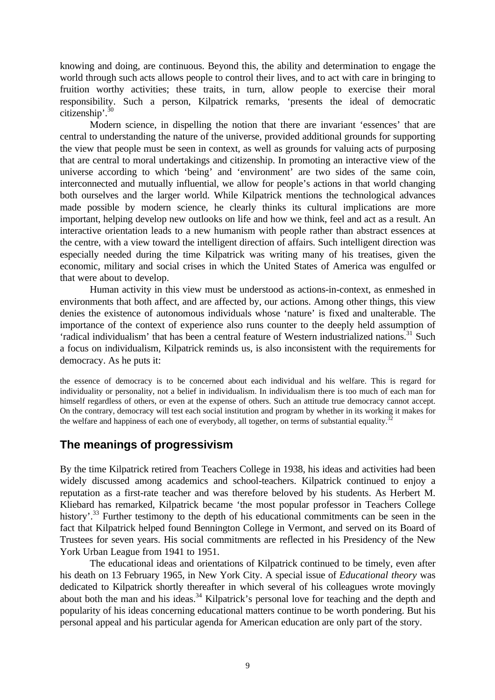knowing and doing, are continuous. Beyond this, the ability and determination to engage the world through such acts allows people to control their lives, and to act with care in bringing to fruition worthy activities; these traits, in turn, allow people to exercise their moral responsibility. Such a person, Kilpatrick remarks, 'presents the ideal of democratic citizenship'.<sup>30</sup>

Modern science, in dispelling the notion that there are invariant 'essences' that are central to understanding the nature of the universe, provided additional grounds for supporting the view that people must be seen in context, as well as grounds for valuing acts of purposing that are central to moral undertakings and citizenship. In promoting an interactive view of the universe according to which 'being' and 'environment' are two sides of the same coin, interconnected and mutually influential, we allow for people's actions in that world changing both ourselves and the larger world. While Kilpatrick mentions the technological advances made possible by modern science, he clearly thinks its cultural implications are more important, helping develop new outlooks on life and how we think, feel and act as a result. An interactive orientation leads to a new humanism with people rather than abstract essences at the centre, with a view toward the intelligent direction of affairs. Such intelligent direction was especially needed during the time Kilpatrick was writing many of his treatises, given the economic, military and social crises in which the United States of America was engulfed or that were about to develop.

Human activity in this view must be understood as actions-in-context, as enmeshed in environments that both affect, and are affected by, our actions. Among other things, this view denies the existence of autonomous individuals whose 'nature' is fixed and unalterable. The importance of the context of experience also runs counter to the deeply held assumption of 'radical individualism' that has been a central feature of Western industrialized nations.<sup>31</sup> Such a focus on individualism, Kilpatrick reminds us, is also inconsistent with the requirements for democracy. As he puts it:

the essence of democracy is to be concerned about each individual and his welfare. This is regard for individuality or personality, not a belief in individualism. In individualism there is too much of each man for himself regardless of others, or even at the expense of others. Such an attitude true democracy cannot accept. On the contrary, democracy will test each social institution and program by whether in its working it makes for the welfare and happiness of each one of everybody, all together, on terms of substantial equality.

## **The meanings of progressivism**

By the time Kilpatrick retired from Teachers College in 1938, his ideas and activities had been widely discussed among academics and school-teachers. Kilpatrick continued to enjoy a reputation as a first-rate teacher and was therefore beloved by his students. As Herbert M. Kliebard has remarked, Kilpatrick became 'the most popular professor in Teachers College history'.<sup>33</sup> Further testimony to the depth of his educational commitments can be seen in the fact that Kilpatrick helped found Bennington College in Vermont, and served on its Board of Trustees for seven years. His social commitments are reflected in his Presidency of the New York Urban League from 1941 to 1951.

The educational ideas and orientations of Kilpatrick continued to be timely, even after his death on 13 February 1965, in New York City. A special issue of *Educational theory* was dedicated to Kilpatrick shortly thereafter in which several of his colleagues wrote movingly about both the man and his ideas.<sup>34</sup> Kilpatrick's personal love for teaching and the depth and popularity of his ideas concerning educational matters continue to be worth pondering. But his personal appeal and his particular agenda for American education are only part of the story.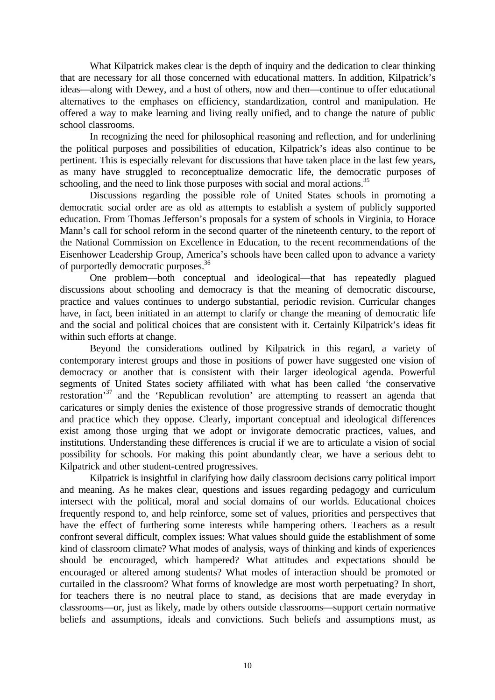What Kilpatrick makes clear is the depth of inquiry and the dedication to clear thinking that are necessary for all those concerned with educational matters. In addition, Kilpatrick's ideas—along with Dewey, and a host of others, now and then—continue to offer educational alternatives to the emphases on efficiency, standardization, control and manipulation. He offered a way to make learning and living really unified, and to change the nature of public school classrooms.

In recognizing the need for philosophical reasoning and reflection, and for underlining the political purposes and possibilities of education, Kilpatrick's ideas also continue to be pertinent. This is especially relevant for discussions that have taken place in the last few years, as many have struggled to reconceptualize democratic life, the democratic purposes of schooling, and the need to link those purposes with social and moral actions.<sup>35</sup>

Discussions regarding the possible role of United States schools in promoting a democratic social order are as old as attempts to establish a system of publicly supported education. From Thomas Jefferson's proposals for a system of schools in Virginia, to Horace Mann's call for school reform in the second quarter of the nineteenth century, to the report of the National Commission on Excellence in Education, to the recent recommendations of the Eisenhower Leadership Group, America's schools have been called upon to advance a variety of purportedly democratic purposes.<sup>36</sup>

One problem—both conceptual and ideological—that has repeatedly plagued discussions about schooling and democracy is that the meaning of democratic discourse, practice and values continues to undergo substantial, periodic revision. Curricular changes have, in fact, been initiated in an attempt to clarify or change the meaning of democratic life and the social and political choices that are consistent with it. Certainly Kilpatrick's ideas fit within such efforts at change.

Beyond the considerations outlined by Kilpatrick in this regard, a variety of contemporary interest groups and those in positions of power have suggested one vision of democracy or another that is consistent with their larger ideological agenda. Powerful segments of United States society affiliated with what has been called 'the conservative restoration<sup>37</sup> and the 'Republican revolution' are attempting to reassert an agenda that caricatures or simply denies the existence of those progressive strands of democratic thought and practice which they oppose. Clearly, important conceptual and ideological differences exist among those urging that we adopt or invigorate democratic practices, values, and institutions. Understanding these differences is crucial if we are to articulate a vision of social possibility for schools. For making this point abundantly clear, we have a serious debt to Kilpatrick and other student-centred progressives.

Kilpatrick is insightful in clarifying how daily classroom decisions carry political import and meaning. As he makes clear, questions and issues regarding pedagogy and curriculum intersect with the political, moral and social domains of our worlds. Educational choices frequently respond to, and help reinforce, some set of values, priorities and perspectives that have the effect of furthering some interests while hampering others. Teachers as a result confront several difficult, complex issues: What values should guide the establishment of some kind of classroom climate? What modes of analysis, ways of thinking and kinds of experiences should be encouraged, which hampered? What attitudes and expectations should be encouraged or altered among students? What modes of interaction should be promoted or curtailed in the classroom? What forms of knowledge are most worth perpetuating? In short, for teachers there is no neutral place to stand, as decisions that are made everyday in classrooms—or, just as likely, made by others outside classrooms—support certain normative beliefs and assumptions, ideals and convictions. Such beliefs and assumptions must, as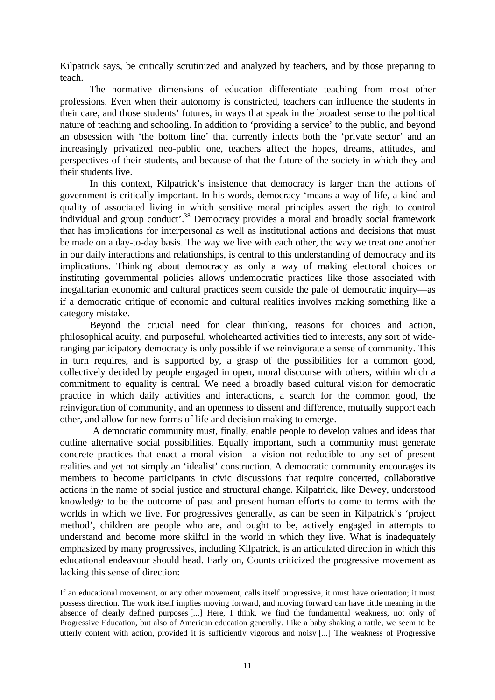Kilpatrick says, be critically scrutinized and analyzed by teachers, and by those preparing to teach.

The normative dimensions of education differentiate teaching from most other professions. Even when their autonomy is constricted, teachers can influence the students in their care, and those students' futures, in ways that speak in the broadest sense to the political nature of teaching and schooling. In addition to 'providing a service' to the public, and beyond an obsession with 'the bottom line' that currently infects both the 'private sector' and an increasingly privatized neo-public one, teachers affect the hopes, dreams, attitudes, and perspectives of their students, and because of that the future of the society in which they and their students live.

In this context, Kilpatrick's insistence that democracy is larger than the actions of government is critically important. In his words, democracy 'means a way of life, a kind and quality of associated living in which sensitive moral principles assert the right to control individual and group conduct'.<sup>38</sup> Democracy provides a moral and broadly social framework that has implications for interpersonal as well as institutional actions and decisions that must be made on a day-to-day basis. The way we live with each other, the way we treat one another in our daily interactions and relationships, is central to this understanding of democracy and its implications. Thinking about democracy as only a way of making electoral choices or instituting governmental policies allows undemocratic practices like those associated with inegalitarian economic and cultural practices seem outside the pale of democratic inquiry—as if a democratic critique of economic and cultural realities involves making something like a category mistake.

Beyond the crucial need for clear thinking, reasons for choices and action, philosophical acuity, and purposeful, wholehearted activities tied to interests, any sort of wideranging participatory democracy is only possible if we reinvigorate a sense of community. This in turn requires, and is supported by, a grasp of the possibilities for a common good, collectively decided by people engaged in open, moral discourse with others, within which a commitment to equality is central. We need a broadly based cultural vision for democratic practice in which daily activities and interactions, a search for the common good, the reinvigoration of community, and an openness to dissent and difference, mutually support each other, and allow for new forms of life and decision making to emerge.

 A democratic community must, finally, enable people to develop values and ideas that outline alternative social possibilities. Equally important, such a community must generate concrete practices that enact a moral vision—a vision not reducible to any set of present realities and yet not simply an 'idealist' construction. A democratic community encourages its members to become participants in civic discussions that require concerted, collaborative actions in the name of social justice and structural change. Kilpatrick, like Dewey, understood knowledge to be the outcome of past and present human efforts to come to terms with the worlds in which we live. For progressives generally, as can be seen in Kilpatrick's 'project method', children are people who are, and ought to be, actively engaged in attempts to understand and become more skilful in the world in which they live. What is inadequately emphasized by many progressives, including Kilpatrick, is an articulated direction in which this educational endeavour should head. Early on, Counts criticized the progressive movement as lacking this sense of direction:

If an educational movement, or any other movement, calls itself progressive, it must have orientation; it must possess direction. The work itself implies moving forward, and moving forward can have little meaning in the absence of clearly defined purposes [...] Here, I think, we find the fundamental weakness, not only of Progressive Education, but also of American education generally. Like a baby shaking a rattle, we seem to be utterly content with action, provided it is sufficiently vigorous and noisy [...] The weakness of Progressive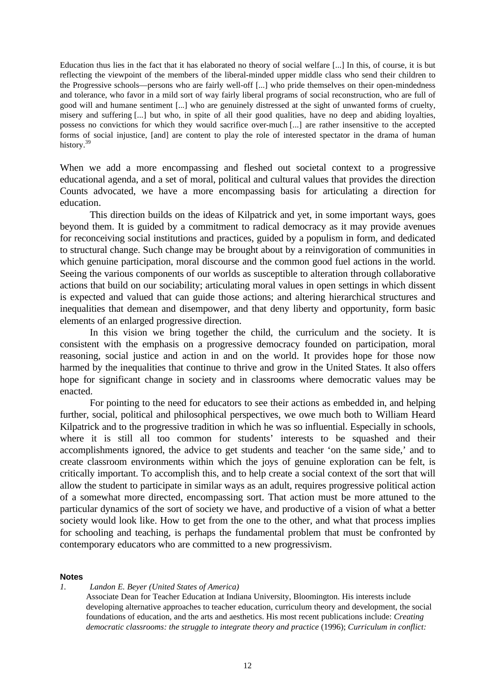Education thus lies in the fact that it has elaborated no theory of social welfare [...] In this, of course, it is but reflecting the viewpoint of the members of the liberal-minded upper middle class who send their children to the Progressive schools—persons who are fairly well-off [...] who pride themselves on their open-mindedness and tolerance, who favor in a mild sort of way fairly liberal programs of social reconstruction, who are full of good will and humane sentiment [...] who are genuinely distressed at the sight of unwanted forms of cruelty, misery and suffering [...] but who, in spite of all their good qualities, have no deep and abiding loyalties, possess no convictions for which they would sacrifice over-much [...] are rather insensitive to the accepted forms of social injustice, [and] are content to play the role of interested spectator in the drama of human history.<sup>39</sup>

When we add a more encompassing and fleshed out societal context to a progressive educational agenda, and a set of moral, political and cultural values that provides the direction Counts advocated, we have a more encompassing basis for articulating a direction for education.

This direction builds on the ideas of Kilpatrick and yet, in some important ways, goes beyond them. It is guided by a commitment to radical democracy as it may provide avenues for reconceiving social institutions and practices, guided by a populism in form, and dedicated to structural change. Such change may be brought about by a reinvigoration of communities in which genuine participation, moral discourse and the common good fuel actions in the world. Seeing the various components of our worlds as susceptible to alteration through collaborative actions that build on our sociability; articulating moral values in open settings in which dissent is expected and valued that can guide those actions; and altering hierarchical structures and inequalities that demean and disempower, and that deny liberty and opportunity, form basic elements of an enlarged progressive direction.

In this vision we bring together the child, the curriculum and the society. It is consistent with the emphasis on a progressive democracy founded on participation, moral reasoning, social justice and action in and on the world. It provides hope for those now harmed by the inequalities that continue to thrive and grow in the United States. It also offers hope for significant change in society and in classrooms where democratic values may be enacted.

For pointing to the need for educators to see their actions as embedded in, and helping further, social, political and philosophical perspectives, we owe much both to William Heard Kilpatrick and to the progressive tradition in which he was so influential. Especially in schools, where it is still all too common for students' interests to be squashed and their accomplishments ignored, the advice to get students and teacher 'on the same side,' and to create classroom environments within which the joys of genuine exploration can be felt, is critically important. To accomplish this, and to help create a social context of the sort that will allow the student to participate in similar ways as an adult, requires progressive political action of a somewhat more directed, encompassing sort. That action must be more attuned to the particular dynamics of the sort of society we have, and productive of a vision of what a better society would look like. How to get from the one to the other, and what that process implies for schooling and teaching, is perhaps the fundamental problem that must be confronted by contemporary educators who are committed to a new progressivism.

#### **Notes**

### *1. Landon E. Beyer (United States of America)*

Associate Dean for Teacher Education at Indiana University, Bloomington. His interests include developing alternative approaches to teacher education, curriculum theory and development, the social foundations of education, and the arts and aesthetics. His most recent publications include: *Creating democratic classrooms: the struggle to integrate theory and practice* (1996); *Curriculum in conflict:*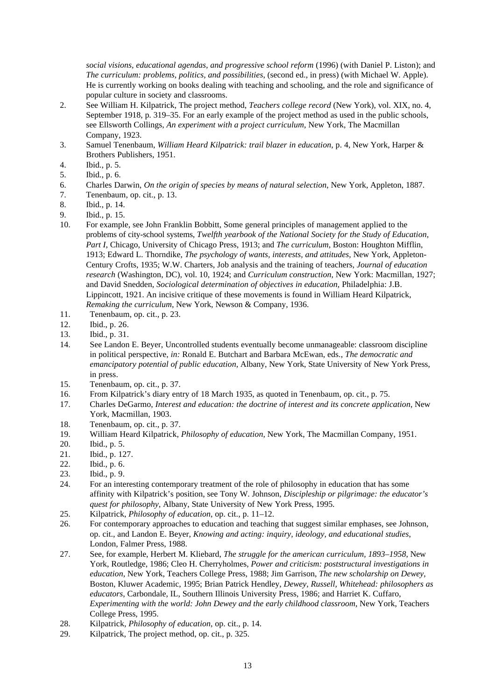*social visions, educational agendas, and progressive school reform* (1996) (with Daniel P. Liston); and *The curriculum: problems, politics, and possibilities*, (second ed., in press) (with Michael W. Apple). He is currently working on books dealing with teaching and schooling, and the role and significance of popular culture in society and classrooms.

- 2. See William H. Kilpatrick, The project method, *Teachers college record* (New York), vol. XIX, no. 4, September 1918, p. 319–35. For an early example of the project method as used in the public schools, see Ellsworth Collings, *An experiment with a project curriculum*, New York, The Macmillan Company, 1923.
- 3. Samuel Tenenbaum, *William Heard Kilpatrick: trail blazer in education*, p. 4, New York, Harper & Brothers Publishers, 1951.
- 4. Ibid., p. 5.
- 5. Ibid., p. 6.
- 6. Charles Darwin, *On the origin of species by means of natural selection*, New York, Appleton, 1887.
- 7. Tenenbaum, op. cit., p. 13.
- 8. Ibid., p. 14.
- 9. Ibid., p. 15.
- 10. For example, see John Franklin Bobbitt, Some general principles of management applied to the problems of city-school systems, *Twelfth yearbook of the National Society for the Study of Education, Part I*, Chicago, University of Chicago Press, 1913; and *The curriculum*, Boston: Houghton Mifflin, 1913; Edward L. Thorndike, *The psychology of wants, interests, and attitudes*, New York, Appleton-Century Crofts, 1935; W.W. Charters, Job analysis and the training of teachers, *Journal of education research* (Washington, DC)*,* vol. 10, 1924; and *Curriculum construction*, New York: Macmillan, 1927; and David Snedden, *Sociological determination of objectives in education*, Philadelphia: J.B. Lippincott, 1921. An incisive critique of these movements is found in William Heard Kilpatrick, *Remaking the curriculum*, New York, Newson & Company, 1936.
- 11. Tenenbaum, op. cit., p. 23.
- 12. Ibid., p. 26.
- 13. Ibid., p. 31.
- 14. See Landon E. Beyer, Uncontrolled students eventually become unmanageable: classroom discipline in political perspective, *in:* Ronald E. Butchart and Barbara McEwan, eds., *The democratic and emancipatory potential of public education*, Albany, New York, State University of New York Press, in press.
- 15. Tenenbaum, op. cit., p. 37.
- 16. From Kilpatrick's diary entry of 18 March 1935, as quoted in Tenenbaum, op. cit., p. 75.
- 17. Charles DeGarmo, *Interest and education: the doctrine of interest and its concrete application*, New York, Macmillan, 1903.
- 18. Tenenbaum, op. cit., p. 37.
- 19. William Heard Kilpatrick, *Philosophy of education*, New York, The Macmillan Company, 1951.
- 20. Ibid., p. 5.
- 21. Ibid., p. 127.
- 22. Ibid., p. 6.
- 23. Ibid., p. 9.
- 24. For an interesting contemporary treatment of the role of philosophy in education that has some affinity with Kilpatrick's position, see Tony W. Johnson, *Discipleship or pilgrimage: the educator's quest for philosophy*, Albany, State University of New York Press, 1995.
- 25. Kilpatrick, *Philosophy of education*, op. cit., p. 11–12.
- 26. For contemporary approaches to education and teaching that suggest similar emphases, see Johnson, op. cit., and Landon E. Beyer, *Knowing and acting: inquiry, ideology, and educational studies*, London, Falmer Press, 1988.
- 27. See, for example, Herbert M. Kliebard, *The struggle for the american curriculum, 1893–1958*, New York, Routledge, 1986; Cleo H. Cherryholmes, *Power and criticism: poststructural investigations in education*, New York, Teachers College Press, 1988; Jim Garrison, *The new scholarship on Dewey*, Boston, Kluwer Academic, 1995; Brian Patrick Hendley, *Dewey, Russell, Whitehead: philosophers as educators*, Carbondale, IL, Southern Illinois University Press, 1986; and Harriet K. Cuffaro, *Experimenting with the world: John Dewey and the early childhood classroom*, New York, Teachers College Press, 1995.
- 28. Kilpatrick, *Philosophy of education*, op. cit., p. 14.
- 29. Kilpatrick, The project method, op. cit., p. 325.